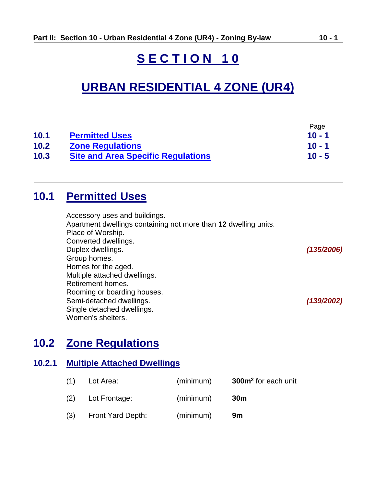# **S E C T I O N 1 0**

# **URBAN RESIDENTIAL 4 ZONE (UR4)**

|      |                                           | Page     |
|------|-------------------------------------------|----------|
| 10.1 | <b>Permitted Uses</b>                     | $10 - 1$ |
| 10.2 | <b>Zone Regulations</b>                   | $10 - 1$ |
| 10.3 | <b>Site and Area Specific Regulations</b> | $10 - 5$ |

# <span id="page-0-0"></span>**10.1 Permitted Uses**

Accessory uses and buildings. Apartment dwellings containing not more than **12** dwelling units. Place of Worship. Converted dwellings. Duplex dwellings. *(135/2006)* Group homes. Homes for the aged. Multiple attached dwellings. Retirement homes. Rooming or boarding houses. Semi-detached dwellings. *(139/2002)* Single detached dwellings. Women's shelters.

# <span id="page-0-1"></span>**10.2 Zone Regulations**

#### **10.2.1 Multiple Attached Dwellings**

| (1) | Lot Area:         | (minimum) | 300m <sup>2</sup> for each unit |
|-----|-------------------|-----------|---------------------------------|
| (2) | Lot Frontage:     | (minimum) | 30 <sub>m</sub>                 |
| (3) | Front Yard Depth: | (minimum) | 9m                              |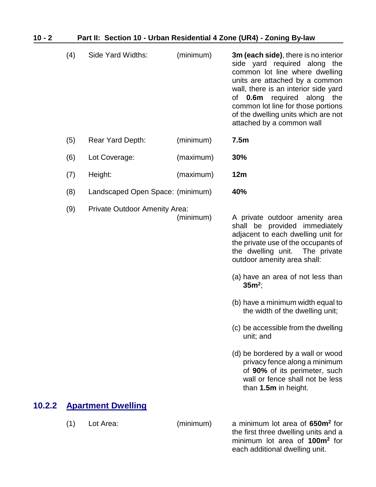| $10 - 2$ | Part II: Section 10 - Urban Residential 4 Zone (UR4) - Zoning By-law |                                      |           |                                                                                                                                                                                                                                                                                                                                                                                                                                                                                                                                                                  |
|----------|----------------------------------------------------------------------|--------------------------------------|-----------|------------------------------------------------------------------------------------------------------------------------------------------------------------------------------------------------------------------------------------------------------------------------------------------------------------------------------------------------------------------------------------------------------------------------------------------------------------------------------------------------------------------------------------------------------------------|
|          | (4)                                                                  | Side Yard Widths:                    | (minimum) | 3m (each side), there is no interior<br>side yard required along the<br>common lot line where dwelling<br>units are attached by a common<br>wall, there is an interior side yard<br>of <b>0.6m</b> required along the<br>common lot line for those portions<br>of the dwelling units which are not<br>attached by a common wall                                                                                                                                                                                                                                  |
|          | (5)                                                                  | Rear Yard Depth:                     | (minimum) | 7.5 <sub>m</sub>                                                                                                                                                                                                                                                                                                                                                                                                                                                                                                                                                 |
|          | (6)                                                                  | Lot Coverage:                        | (maximum) | 30%                                                                                                                                                                                                                                                                                                                                                                                                                                                                                                                                                              |
|          | (7)                                                                  | Height:                              | (maximum) | 12m                                                                                                                                                                                                                                                                                                                                                                                                                                                                                                                                                              |
|          | (8)                                                                  | Landscaped Open Space: (minimum)     |           | 40%                                                                                                                                                                                                                                                                                                                                                                                                                                                                                                                                                              |
|          | (9)                                                                  | <b>Private Outdoor Amenity Area:</b> | (minimum) | A private outdoor amenity area<br>shall be provided immediately<br>adjacent to each dwelling unit for<br>the private use of the occupants of<br>the dwelling unit.<br>The private<br>outdoor amenity area shall:<br>(a) have an area of not less than<br>$35m^2$ ;<br>(b) have a minimum width equal to<br>the width of the dwelling unit;<br>(c) be accessible from the dwelling<br>unit; and<br>(d) be bordered by a wall or wood<br>privacy fence along a minimum<br>of 90% of its perimeter, such<br>wall or fence shall not be less<br>than 1.5m in height. |
| 10.2.2   |                                                                      | <b>Apartment Dwelling</b>            |           |                                                                                                                                                                                                                                                                                                                                                                                                                                                                                                                                                                  |
|          | (1)                                                                  | Lot Area:                            | (minimum) | a minimum lot area of 650m <sup>2</sup> for<br>the first three dwelling units and a<br>minimum lot area of 100m <sup>2</sup> for                                                                                                                                                                                                                                                                                                                                                                                                                                 |

each additional dwelling unit.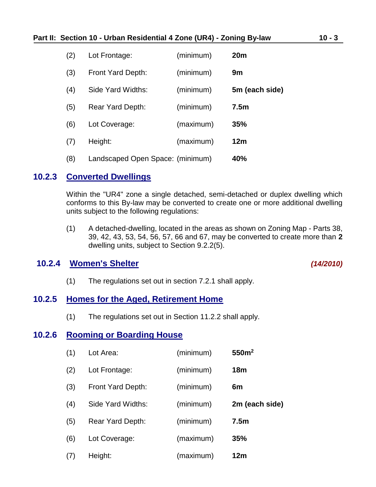#### **Part II: Section 10 - Urban Residential 4 Zone (UR4) - Zoning By-law 10 - 3**

| (2) | Lot Frontage:                    | (minimum) | 20 <sub>m</sub>  |
|-----|----------------------------------|-----------|------------------|
| (3) | Front Yard Depth:                | (minimum) | 9m               |
| (4) | Side Yard Widths:                | (minimum) | 5m (each side)   |
| (5) | <b>Rear Yard Depth:</b>          | (minimum) | 7.5 <sub>m</sub> |
| (6) | Lot Coverage:                    | (maximum) | 35%              |
| (7) | Height:                          | (maximum) | 12 <sub>m</sub>  |
| (8) | Landscaped Open Space: (minimum) |           | 40%              |

#### **10.2.3 Converted Dwellings**

Within the "UR4" zone a single detached, semi-detached or duplex dwelling which conforms to this By-law may be converted to create one or more additional dwelling units subject to the following regulations:

(1) A detached-dwelling, located in the areas as shown on Zoning Map - Parts 38, 39, 42, 43, 53, 54, 56, 57, 66 and 67, may be converted to create more than **2** dwelling units, subject to Section 9.2.2(5).

### **10.2.4 Women's Shelter** *(14/2010)*

(1) The regulations set out in section 7.2.1 shall apply.

#### **10.2.5 Homes for the Aged, Retirement Home**

(1) The regulations set out in Section 11.2.2 shall apply.

#### **10.2.6 Rooming or Boarding House**

| (1) | Lot Area:         | (minimum) | 550m <sup>2</sup> |
|-----|-------------------|-----------|-------------------|
| (2) | Lot Frontage:     | (minimum) | 18 <sub>m</sub>   |
| (3) | Front Yard Depth: | (minimum) | 6m                |
| (4) | Side Yard Widths: | (minimum) | 2m (each side)    |
| (5) | Rear Yard Depth:  | (minimum) | 7.5 <sub>m</sub>  |
| (6) | Lot Coverage:     | (maximum) | <b>35%</b>        |
| (7) | Height:           | (maximum) | 12 <sub>m</sub>   |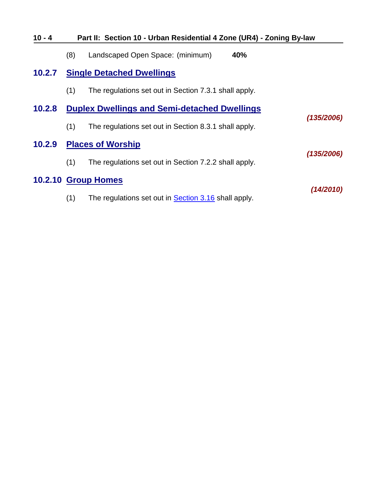| $10 - 4$ | Part II: Section 10 - Urban Residential 4 Zone (UR4) - Zoning By-law |                                                             |            |
|----------|----------------------------------------------------------------------|-------------------------------------------------------------|------------|
|          | (8)                                                                  | 40%<br>Landscaped Open Space: (minimum)                     |            |
| 10.2.7   |                                                                      | <b>Single Detached Dwellings</b>                            |            |
|          | (1)                                                                  | The regulations set out in Section 7.3.1 shall apply.       |            |
| 10.2.8   |                                                                      | <b>Duplex Dwellings and Semi-detached Dwellings</b>         |            |
|          | (1)                                                                  | The regulations set out in Section 8.3.1 shall apply.       | (135/2006) |
| 10.2.9   |                                                                      | <b>Places of Worship</b>                                    |            |
|          | (1)                                                                  | The regulations set out in Section 7.2.2 shall apply.       | (135/2006) |
|          |                                                                      | 10.2.10 Group Homes                                         |            |
|          | (1)                                                                  | The regulations set out in <b>Section 3.16</b> shall apply. | (14/2010)  |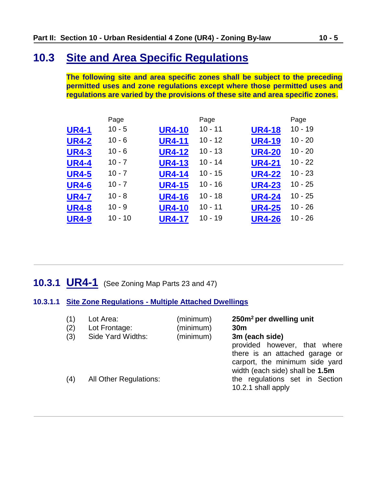# <span id="page-4-0"></span>**10.3 Site and Area Specific Regulations**

**The following site and area specific zones shall be subject to the preceding permitted uses and zone regulations except where those permitted uses and regulations are varied by the provisions of these site and area specific zones**.

|              | Page      |               | Page      |               | Page      |
|--------------|-----------|---------------|-----------|---------------|-----------|
| <b>UR4-1</b> | $10 - 5$  | <b>UR4-10</b> | $10 - 11$ | <b>UR4-18</b> | $10 - 19$ |
| <b>UR4-2</b> | $10 - 6$  | <b>UR4-11</b> | $10 - 12$ | <b>UR4-19</b> | $10 - 20$ |
| <b>UR4-3</b> | $10 - 6$  | <b>UR4-12</b> | $10 - 13$ | <b>UR4-20</b> | $10 - 20$ |
| <b>UR4-4</b> | $10 - 7$  | <b>UR4-13</b> | $10 - 14$ | <b>UR4-21</b> | $10 - 22$ |
| <b>UR4-5</b> | $10 - 7$  | <b>UR4-14</b> | $10 - 15$ | <b>UR4-22</b> | $10 - 23$ |
| <b>UR4-6</b> | $10 - 7$  | <b>UR4-15</b> | $10 - 16$ | <b>UR4-23</b> | $10 - 25$ |
| <b>UR4-7</b> | $10 - 8$  | <b>UR4-16</b> | $10 - 18$ | <b>UR4-24</b> | $10 - 25$ |
| <b>UR4-8</b> | $10 - 9$  | <b>UR4-10</b> | $10 - 11$ | <b>UR4-25</b> | $10 - 26$ |
| <b>UR4-9</b> | $10 - 10$ | <b>UR4-17</b> | $10 - 19$ | <b>UR4-26</b> | $10 - 26$ |

## <span id="page-4-1"></span>**10.3.1 UR4-1** (See Zoning Map Parts 23 and 47)

#### **10.3.1.1 Site Zone Regulations - Multiple Attached Dwellings**

| (1)<br>(2)<br>(3) | Lot Area:<br>Lot Frontage:<br>Side Yard Widths: | (minimum)<br>(minimum)<br>(minimum) | 250m <sup>2</sup> per dwelling unit<br>30 <sub>m</sub><br>3m (each side)                                                            |
|-------------------|-------------------------------------------------|-------------------------------------|-------------------------------------------------------------------------------------------------------------------------------------|
|                   |                                                 |                                     | provided however, that where<br>there is an attached garage or<br>carport, the minimum side yard<br>width (each side) shall be 1.5m |
| (4)               | <b>All Other Regulations:</b>                   |                                     | the regulations set in Section<br>10.2.1 shall apply                                                                                |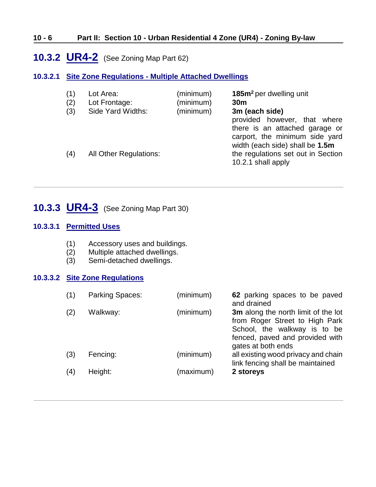#### **10 - 6 Part II: Section 10 - Urban Residential 4 Zone (UR4) - Zoning By-law**

## <span id="page-5-0"></span>**10.3.2 UR4-2** (See Zoning Map Part 62)

#### **10.3.2.1 Site Zone Regulations - Multiple Attached Dwellings**

| (1)<br>(2)<br>(3) | Lot Area:<br>Lot Frontage:<br>Side Yard Widths: | (minimum)<br>(minimum)<br>(minimum) | 185m <sup>2</sup> per dwelling unit<br>30 <sub>m</sub><br>3m (each side)<br>provided however, that where<br>there is an attached garage or<br>carport, the minimum side yard<br>width (each side) shall be 1.5m |
|-------------------|-------------------------------------------------|-------------------------------------|-----------------------------------------------------------------------------------------------------------------------------------------------------------------------------------------------------------------|
| (4)               | <b>All Other Regulations:</b>                   |                                     | the regulations set out in Section<br>10.2.1 shall apply                                                                                                                                                        |

# <span id="page-5-1"></span>**10.3.3 UR4-3** (See Zoning Map Part 30)

#### **10.3.3.1 Permitted Uses**

- (1) Accessory uses and buildings.
- (2) Multiple attached dwellings.
- (3) Semi-detached dwellings.

#### **10.3.3.2 Site Zone Regulations**

| (1) | Parking Spaces: | (minimum) | 62 parking spaces to be paved<br>and drained                                                                                                                   |
|-----|-----------------|-----------|----------------------------------------------------------------------------------------------------------------------------------------------------------------|
| (2) | Walkway:        | (minimum) | 3m along the north limit of the lot<br>from Roger Street to High Park<br>School, the walkway is to be<br>fenced, paved and provided with<br>gates at both ends |
| (3) | Fencing:        | (minimum) | all existing wood privacy and chain<br>link fencing shall be maintained                                                                                        |
| (4) | Height:         | (maximum) | 2 storeys                                                                                                                                                      |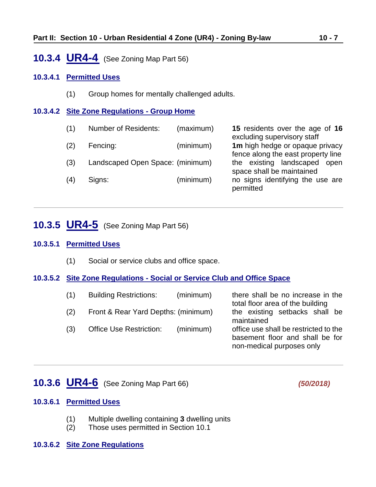### <span id="page-6-0"></span>**10.3.4 UR4-4** (See Zoning Map Part 56)

#### **10.3.4.1 Permitted Uses**

(1) Group homes for mentally challenged adults.

#### **10.3.4.2 Site Zone Regulations - Group Home**

- (1) Number of Residents: (maximum) **15** residents over the age of **16**
- (2) Fencing: (minimum) **1m** high hedge or opaque privacy
- (3) Landscaped Open Space: (minimum) the existing landscaped open
- (4) Signs: (minimum) no signs identifying the use are

excluding supervisory staff fence along the east property line space shall be maintained permitted

### <span id="page-6-1"></span>**10.3.5 UR4-5** (See Zoning Map Part 56)

#### **10.3.5.1 Permitted Uses**

(1) Social or service clubs and office space.

#### **10.3.5.2 Site Zone Regulations - Social or Service Club and Office Space**

| (1) | <b>Building Restrictions:</b>       | (minimum) | there shall be no increase in the<br>total floor area of the building                                 |
|-----|-------------------------------------|-----------|-------------------------------------------------------------------------------------------------------|
| (2) | Front & Rear Yard Depths: (minimum) |           | the existing setbacks shall be<br>maintained                                                          |
| (3) | <b>Office Use Restriction:</b>      | (minimum) | office use shall be restricted to the<br>basement floor and shall be for<br>non-medical purposes only |

### <span id="page-6-2"></span>**10.3.6 UR4-6** (See Zoning Map Part 66) *(50/2018)*

#### **10.3.6.1 Permitted Uses**

- (1) Multiple dwelling containing **3** dwelling units
- (2) Those uses permitted in Section 10.1

#### **10.3.6.2 Site Zone Regulations**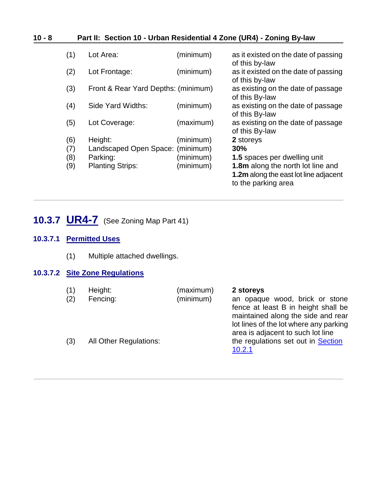### **10 - 8 Part II: Section 10 - Urban Residential 4 Zone (UR4) - Zoning By-law**

| (1) | Lot Area:                           | (minimum) | as it existed on the date of passing<br>of this by-law |
|-----|-------------------------------------|-----------|--------------------------------------------------------|
| (2) | Lot Frontage:                       | (minimum) | as it existed on the date of passing<br>of this by-law |
| (3) | Front & Rear Yard Depths: (minimum) |           | as existing on the date of passage<br>of this By-law   |
| (4) | Side Yard Widths:                   | (minimum) | as existing on the date of passage<br>of this By-law   |
| (5) | Lot Coverage:                       | (maximum) | as existing on the date of passage<br>of this By-law   |
| (6) | Height:                             | (minimum) | 2 storeys                                              |
| (7) | Landscaped Open Space: (minimum)    |           | 30%                                                    |
| (8) | Parking:                            | (minimum) | <b>1.5</b> spaces per dwelling unit                    |
| (9) | <b>Planting Strips:</b>             | (minimum) | <b>1.8m</b> along the north lot line and               |
|     |                                     |           | <b>1.2m</b> along the east lot line adjacent           |
|     |                                     |           | to the parking area                                    |

# <span id="page-7-0"></span>**10.3.7 UR4-7** (See Zoning Map Part 41)

#### **10.3.7.1 Permitted Uses**

(1) Multiple attached dwellings.

#### **10.3.7.2 Site Zone Regulations**

| (1)<br>(2) | Height:<br>Fencing:           | (maximum)<br>(minimum) | 2 storeys<br>an opaque wood, brick or stone<br>fence at least B in height shall be<br>maintained along the side and rear<br>lot lines of the lot where any parking |
|------------|-------------------------------|------------------------|--------------------------------------------------------------------------------------------------------------------------------------------------------------------|
| (3)        | <b>All Other Regulations:</b> |                        | area is adjacent to such lot line<br>the regulations set out in <b>Section</b><br>10.2.1                                                                           |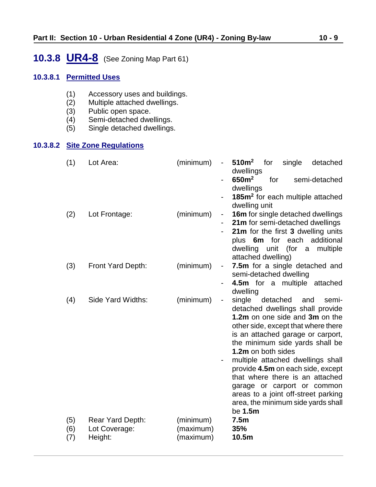# <span id="page-8-0"></span>**10.3.8 UR4-8** (See Zoning Map Part 61)

#### **10.3.8.1 Permitted Uses**

- (1) Accessory uses and buildings.<br>(2) Multiple attached dwellings.
- $(2)$  Multiple attached dwellings.<br>(3) Public open space.
- 
- (3) Public open space.<br>(4) Semi-detached dwe
- (4) Semi-detached dwellings. Single detached dwellings.

## **10.3.8.2 Site Zone Regulations**

| (1)               | Lot Area:                                    | (minimum)<br>$\qquad \qquad \blacksquare$ | 510 <sup>m²</sup><br>for<br>single<br>detached<br>dwellings                                                                                                                                                                                                                                                                                                                                                                                                            |
|-------------------|----------------------------------------------|-------------------------------------------|------------------------------------------------------------------------------------------------------------------------------------------------------------------------------------------------------------------------------------------------------------------------------------------------------------------------------------------------------------------------------------------------------------------------------------------------------------------------|
|                   |                                              |                                           | 650m <sup>2</sup><br>for<br>semi-detached<br>dwellings                                                                                                                                                                                                                                                                                                                                                                                                                 |
|                   |                                              |                                           | 185m <sup>2</sup> for each multiple attached<br>dwelling unit                                                                                                                                                                                                                                                                                                                                                                                                          |
| (2)               | Lot Frontage:                                | (minimum)<br>۰                            | 16m for single detached dwellings<br>21m for semi-detached dwellings                                                                                                                                                                                                                                                                                                                                                                                                   |
|                   |                                              |                                           | 21m for the first 3 dwelling units                                                                                                                                                                                                                                                                                                                                                                                                                                     |
|                   |                                              |                                           | plus 6m for each<br>additional<br>dwelling unit<br>(for a multiple<br>attached dwelling)                                                                                                                                                                                                                                                                                                                                                                               |
| (3)               | Front Yard Depth:                            | (minimum)<br>-                            | 7.5m for a single detached and<br>semi-detached dwelling                                                                                                                                                                                                                                                                                                                                                                                                               |
|                   |                                              |                                           | 4.5m for a multiple attached<br>dwelling                                                                                                                                                                                                                                                                                                                                                                                                                               |
| (4)               | Side Yard Widths:                            | (minimum)<br>-                            | single<br>detached<br>and<br>semi-<br>detached dwellings shall provide<br>1.2m on one side and 3m on the<br>other side, except that where there<br>is an attached garage or carport,<br>the minimum side yards shall be<br>1.2m on both sides<br>multiple attached dwellings shall<br>provide 4.5m on each side, except<br>that where there is an attached<br>garage or carport or common<br>areas to a joint off-street parking<br>area, the minimum side yards shall |
| (5)<br>(6)<br>(7) | Rear Yard Depth:<br>Lot Coverage:<br>Height: | (minimum)<br>(maximum)<br>(maximum)       | be 1.5m<br>7.5m<br>35%<br>10.5m                                                                                                                                                                                                                                                                                                                                                                                                                                        |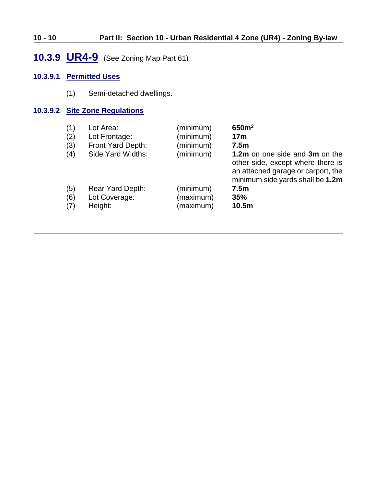### **10 - 10 Part II: Section 10 - Urban Residential 4 Zone (UR4) - Zoning By-law**

# <span id="page-9-0"></span>**10.3.9 UR4-9** (See Zoning Map Part 61)

#### **10.3.9.1 Permitted Uses**

(1) Semi-detached dwellings.

#### **10.3.9.2 Site Zone Regulations**

| (1) | Lot Area:         | (minimum) | 650m <sup>2</sup>                                                                                                                             |
|-----|-------------------|-----------|-----------------------------------------------------------------------------------------------------------------------------------------------|
| (2) | Lot Frontage:     | (minimum) | 17 <sub>m</sub>                                                                                                                               |
| (3) | Front Yard Depth: | (minimum) | 7.5 <sub>m</sub>                                                                                                                              |
| (4) | Side Yard Widths: | (minimum) | 1.2m on one side and 3m on the<br>other side, except where there is<br>an attached garage or carport, the<br>minimum side yards shall be 1.2m |
| (5) | Rear Yard Depth:  | (minimum) | 7.5 <sub>m</sub>                                                                                                                              |
| (6) | Lot Coverage:     | (maximum) | 35%                                                                                                                                           |
| (7) | Height:           | (maximum) | 10.5 <sub>m</sub>                                                                                                                             |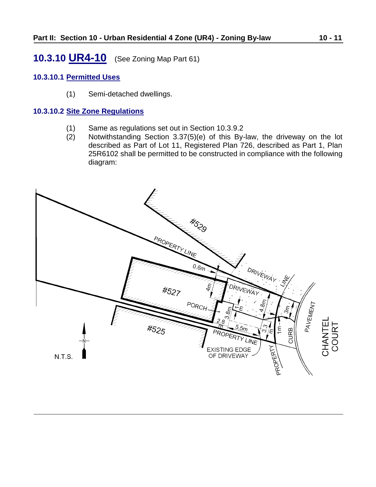# <span id="page-10-0"></span>**10.3.10 UR4-10** (See Zoning Map Part 61)

#### **10.3.10.1 Permitted Uses**

(1) Semi-detached dwellings.

#### **10.3.10.2 Site Zone Regulations**

- (1) Same as regulations set out in Section 10.3.9.2
- (2) Notwithstanding Section 3.37(5)(e) of this By-law, the driveway on the lot described as Part of Lot 11, Registered Plan 726, described as Part 1, Plan 25R6102 shall be permitted to be constructed in compliance with the following diagram:

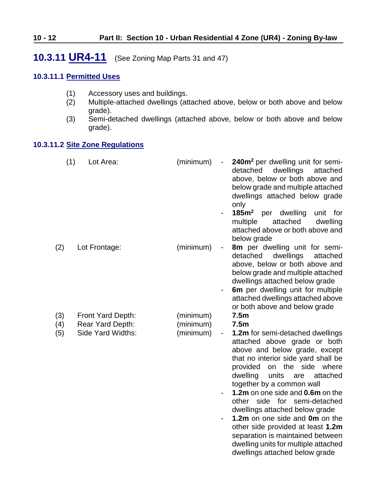# <span id="page-11-0"></span>**10.3.11 UR4-11** (See Zoning Map Parts 31 and 47)

#### **10.3.11.1 Permitted Uses**

- (1) Accessory uses and buildings.<br>(2) Multiple-attached dwellings (at
- Multiple-attached dwellings (attached above, below or both above and below grade).
- (3) Semi-detached dwellings (attached above, below or both above and below grade).

#### **10.3.11.2 Site Zone Regulations**

| (1)        | Lot Area:                             | (minimum)              | 240m <sup>2</sup> per dwelling unit for semi-<br>detached<br>dwellings<br>attached<br>above, below or both above and<br>below grade and multiple attached<br>dwellings attached below grade<br>only<br>$185m2$ per<br>dwelling<br>unit<br>for<br>$\qquad \qquad \blacksquare$<br>attached<br>multiple<br>dwelling<br>attached above or both above and<br>below grade                                                                                                                                                                       |
|------------|---------------------------------------|------------------------|--------------------------------------------------------------------------------------------------------------------------------------------------------------------------------------------------------------------------------------------------------------------------------------------------------------------------------------------------------------------------------------------------------------------------------------------------------------------------------------------------------------------------------------------|
| (2)        | Lot Frontage:                         | (minimum)              | 8m per dwelling unit for semi-<br>$\qquad \qquad \blacksquare$<br>detached<br>dwellings<br>attached<br>above, below or both above and<br>below grade and multiple attached<br>dwellings attached below grade<br>6m per dwelling unit for multiple                                                                                                                                                                                                                                                                                          |
|            |                                       |                        | attached dwellings attached above<br>or both above and below grade                                                                                                                                                                                                                                                                                                                                                                                                                                                                         |
| (3)<br>(4) | Front Yard Depth:<br>Rear Yard Depth: | (minimum)<br>(minimum) | 7.5 <sub>m</sub><br>7.5 <sub>m</sub>                                                                                                                                                                                                                                                                                                                                                                                                                                                                                                       |
| (5)        | Side Yard Widths:                     | (minimum)              | <b>1.2m</b> for semi-detached dwellings<br>$\overline{\phantom{0}}$<br>attached above grade or both<br>above and below grade, except<br>that no interior side yard shall be<br>provided on the side<br>where<br>units<br>dwelling<br>attached<br>are<br>together by a common wall<br>1.2m on one side and 0.6m on the<br>other side for semi-detached<br>dwellings attached below grade<br>1.2m on one side and 0m on the<br>other side provided at least 1.2m<br>separation is maintained between<br>dwelling units for multiple attached |

dwellings attached below grade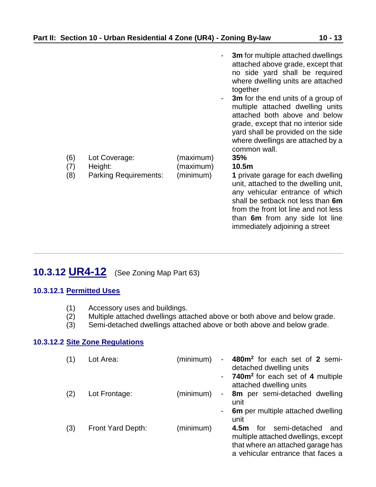|            |                              |                        | 3m for multiple attached dwellings<br>attached above grade, except that<br>no side yard shall be required<br>where dwelling units are attached<br>together                                                                                                                        |
|------------|------------------------------|------------------------|-----------------------------------------------------------------------------------------------------------------------------------------------------------------------------------------------------------------------------------------------------------------------------------|
| (6)<br>(7) | Lot Coverage:<br>Height:     | (maximum)<br>(maximum) | <b>3m</b> for the end units of a group of<br>$\sim$<br>multiple attached dwelling units<br>attached both above and below<br>grade, except that no interior side<br>yard shall be provided on the side<br>where dwellings are attached by a<br>common wall.<br><b>35%</b><br>10.5m |
| (8)        | <b>Parking Requirements:</b> | (minimum)              | 1 private garage for each dwelling<br>unit, attached to the dwelling unit,<br>any vehicular entrance of which<br>shall be setback not less than 6m<br>from the front lot line and not less<br>than 6m from any side lot line<br>immediately adjoining a street                    |

# <span id="page-12-0"></span>**10.3.12 UR4-12** (See Zoning Map Part 63)

#### **10.3.12.1 Permitted Uses**

- 
- (1) Accessory uses and buildings.<br>(2) Multiple attached dwellings atta Multiple attached dwellings attached above or both above and below grade.
- (3) Semi-detached dwellings attached above or both above and below grade.

#### **10.3.12.2 Site Zone Regulations**

| (1) | Lot Area:         | (minimum)<br>н.                       | 480m <sup>2</sup> for each set of 2 semi-<br>detached dwelling units<br>740m <sup>2</sup> for each set of 4 multiple<br>attached dwelling units      |
|-----|-------------------|---------------------------------------|------------------------------------------------------------------------------------------------------------------------------------------------------|
| (2) | Lot Frontage:     | (minimum)<br>$\overline{\phantom{a}}$ | 8m per semi-detached dwelling<br>unit                                                                                                                |
|     |                   |                                       | 6m per multiple attached dwelling<br>unit                                                                                                            |
| (3) | Front Yard Depth: | (minimum)                             | semi-detached<br>for<br>4.5m<br>and<br>multiple attached dwellings, except<br>that where an attached garage has<br>a vehicular entrance that faces a |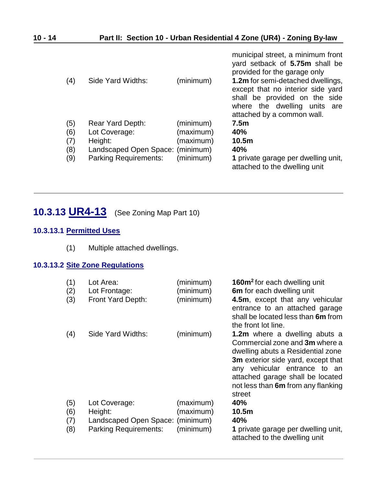| (4) | Side Yard Widths:                | (minimum) | municipal street, a minimum front<br>yard setback of 5.75m shall be<br>provided for the garage only<br>1.2m for semi-detached dwellings,<br>except that no interior side yard<br>shall be provided on the side<br>where the dwelling units<br>are<br>attached by a common wall. |
|-----|----------------------------------|-----------|---------------------------------------------------------------------------------------------------------------------------------------------------------------------------------------------------------------------------------------------------------------------------------|
| (5) | Rear Yard Depth:                 | (minimum) | 7.5 <sub>m</sub>                                                                                                                                                                                                                                                                |
| (6) | Lot Coverage:                    | (maximum) | 40%                                                                                                                                                                                                                                                                             |
| (7) | Height:                          | (maximum) | 10.5 <sub>m</sub>                                                                                                                                                                                                                                                               |
| (8) | Landscaped Open Space: (minimum) |           | 40%                                                                                                                                                                                                                                                                             |
| (9) | <b>Parking Requirements:</b>     | (minimum) | 1 private garage per dwelling unit,<br>attached to the dwelling unit                                                                                                                                                                                                            |

# <span id="page-13-0"></span>**10.3.13 UR4-13** (See Zoning Map Part 10)

#### **10.3.13.1 Permitted Uses**

(1) Multiple attached dwellings.

### **10.3.13.2 Site Zone Regulations**

| (1)<br>(2)<br>(3) | Lot Area:<br>Lot Frontage:<br>Front Yard Depth: | (minimum)<br>(minimum)<br>(minimum) | <b>160m<sup>2</sup></b> for each dwelling unit<br>6m for each dwelling unit<br>4.5m, except that any vehicular<br>entrance to an attached garage<br>shall be located less than 6m from<br>the front lot line.                                                         |
|-------------------|-------------------------------------------------|-------------------------------------|-----------------------------------------------------------------------------------------------------------------------------------------------------------------------------------------------------------------------------------------------------------------------|
| (4)               | Side Yard Widths:                               | (minimum)                           | <b>1.2m</b> where a dwelling abuts a<br>Commercial zone and 3m where a<br>dwelling abuts a Residential zone<br>3m exterior side yard, except that<br>any vehicular entrance to an<br>attached garage shall be located<br>not less than 6m from any flanking<br>street |
| (5)               | Lot Coverage:                                   | (maximum)                           | 40%                                                                                                                                                                                                                                                                   |
| (6)               | Height:                                         | (maximum)                           | 10.5m                                                                                                                                                                                                                                                                 |
| (7)               | Landscaped Open Space:                          | (minimum)                           | 40%                                                                                                                                                                                                                                                                   |
| (8)               | <b>Parking Requirements:</b>                    | (minimum)                           | 1 private garage per dwelling unit,<br>attached to the dwelling unit                                                                                                                                                                                                  |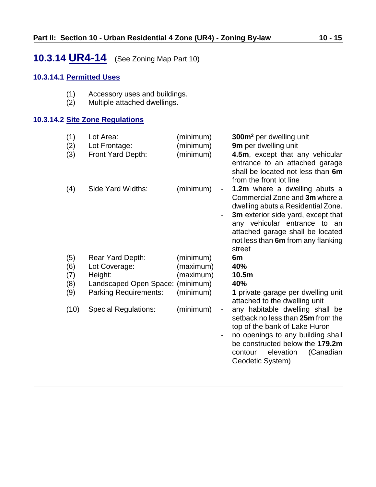# <span id="page-14-0"></span>**10.3.14 UR4-14** (See Zoning Map Part 10)

#### **10.3.14.1 Permitted Uses**

- (1) Accessory uses and buildings.<br>(2) Multiple attached dwellings.
- Multiple attached dwellings.

#### **10.3.14.2 Site Zone Regulations**

| (1)<br>(2)<br>(3) | Lot Area:<br>Lot Frontage:<br>Front Yard Depth: | (minimum)<br>(minimum)<br>(minimum) |                                                      | 300m <sup>2</sup> per dwelling unit<br>9m per dwelling unit<br>4.5m, except that any vehicular<br>entrance to an attached garage<br>shall be located not less than 6m<br>from the front lot line                                                                |
|-------------------|-------------------------------------------------|-------------------------------------|------------------------------------------------------|-----------------------------------------------------------------------------------------------------------------------------------------------------------------------------------------------------------------------------------------------------------------|
| (4)               | Side Yard Widths:                               | (minimum)                           | $\overline{\phantom{a}}$<br>$\overline{\phantom{0}}$ | 1.2m where a dwelling abuts a<br>Commercial Zone and 3m where a<br>dwelling abuts a Residential Zone.<br>3m exterior side yard, except that<br>any vehicular entrance to an<br>attached garage shall be located<br>not less than 6m from any flanking<br>street |
| (5)               | Rear Yard Depth:                                | (minimum)                           |                                                      | 6m                                                                                                                                                                                                                                                              |
| (6)               | Lot Coverage:                                   | (maximum)                           |                                                      | 40%                                                                                                                                                                                                                                                             |
| (7)               | Height:                                         | (maximum)                           |                                                      | 10.5m                                                                                                                                                                                                                                                           |
| (8)               | Landscaped Open Space: (minimum)                |                                     |                                                      | 40%                                                                                                                                                                                                                                                             |
| (9)               | <b>Parking Requirements:</b>                    | (minimum)                           |                                                      | 1 private garage per dwelling unit<br>attached to the dwelling unit                                                                                                                                                                                             |
| (10)              | <b>Special Regulations:</b>                     | (minimum)                           |                                                      | any habitable dwelling shall be<br>setback no less than 25m from the<br>top of the bank of Lake Huron<br>no openings to any building shall<br>be constructed below the 179.2m                                                                                   |
|                   |                                                 |                                     |                                                      | (Canadian<br>elevation<br>contour<br>Geodetic System)                                                                                                                                                                                                           |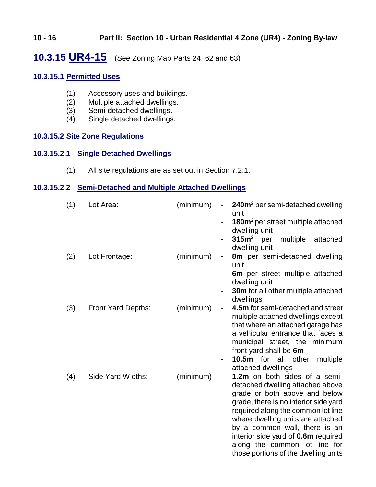### <span id="page-15-0"></span>**10.3.15 UR4-15** (See Zoning Map Parts 24, 62 and 63)

#### **10.3.15.1 Permitted Uses**

- (1) Accessory uses and buildings.<br>(2) Multiple attached dwellings.
- (2) Multiple attached dwellings.<br>(3) Semi-detached dwellings.
- Semi-detached dwellings.
- (4) Single detached dwellings.

#### **10.3.15.2 Site Zone Regulations**

#### **10.3.15.2.1 Single Detached Dwellings**

(1) All site regulations are as set out in Section 7.2.1.

#### <span id="page-15-1"></span>**10.3.15.2.2 Semi-Detached and Multiple Attached Dwellings**

| (1) | Lot Area:          | (minimum) | 240m <sup>2</sup> per semi-detached dwelling<br>$\overline{\phantom{a}}$<br>unit<br>180m <sup>2</sup> per street multiple attached<br>dwelling unit<br>$315m2$ per<br>multiple<br>attached                                                                                                                                                                                                |
|-----|--------------------|-----------|-------------------------------------------------------------------------------------------------------------------------------------------------------------------------------------------------------------------------------------------------------------------------------------------------------------------------------------------------------------------------------------------|
| (2) | Lot Frontage:      | (minimum) | dwelling unit<br>8m per semi-detached dwelling<br>$\overline{\phantom{0}}$<br>unit<br>6m per street multiple attached<br>dwelling unit<br><b>30m</b> for all other multiple attached<br>dwellings                                                                                                                                                                                         |
| (3) | Front Yard Depths: | (minimum) | 4.5m for semi-detached and street<br>$\overline{\phantom{a}}$<br>multiple attached dwellings except<br>that where an attached garage has<br>a vehicular entrance that faces a<br>municipal street, the minimum<br>front yard shall be 6m<br>10.5m for all other<br>multiple<br>$\overline{\phantom{a}}$<br>attached dwellings                                                             |
| (4) | Side Yard Widths:  | (minimum) | 1.2m on both sides of a semi-<br>$\blacksquare$<br>detached dwelling attached above<br>grade or both above and below<br>grade, there is no interior side yard<br>required along the common lot line<br>where dwelling units are attached<br>by a common wall, there is an<br>interior side yard of 0.6m required<br>along the common lot line for<br>those portions of the dwelling units |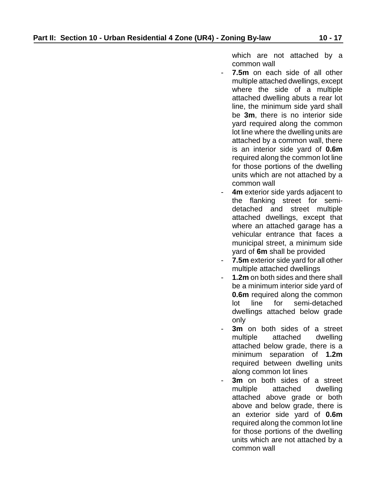which are not attached by a common wall

- **7.5m** on each side of all other multiple attached dwellings, except where the side of a multiple attached dwelling abuts a rear lot line, the minimum side yard shall be **3m**, there is no interior side yard required along the common lot line where the dwelling units are attached by a common wall, there is an interior side yard of **0.6m** required along the common lot line for those portions of the dwelling units which are not attached by a common wall
- **4m** exterior side yards adjacent to the flanking street for semidetached and street multiple attached dwellings, except that where an attached garage has a vehicular entrance that faces a municipal street, a minimum side yard of **6m** shall be provided
- **7.5m** exterior side yard for all other multiple attached dwellings
- 1.2m on both sides and there shall be a minimum interior side yard of **0.6m** required along the common lot line for semi-detached dwellings attached below grade only
- **3m** on both sides of a street multiple attached dwelling attached below grade, there is a minimum separation of **1.2m** required between dwelling units along common lot lines
- **3m** on both sides of a street multiple attached dwelling attached above grade or both above and below grade, there is an exterior side yard of **0.6m** required along the common lot line for those portions of the dwelling units which are not attached by a common wall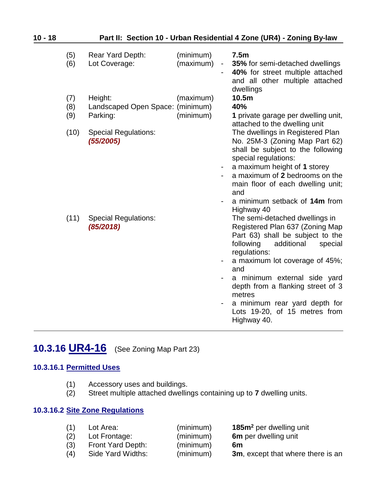| 10 - 18 | Part II: Section 10 - Urban Residential 4 Zone (UR4) - Zoning By-law |                                                         |                        |                |                                                                                                                                                                                                                                                                                                                                                                      |  |
|---------|----------------------------------------------------------------------|---------------------------------------------------------|------------------------|----------------|----------------------------------------------------------------------------------------------------------------------------------------------------------------------------------------------------------------------------------------------------------------------------------------------------------------------------------------------------------------------|--|
|         | (5)<br>(6)                                                           | Rear Yard Depth:<br>Lot Coverage:                       | (minimum)<br>(maximum) | $\blacksquare$ | 7.5m<br>35% for semi-detached dwellings<br>40% for street multiple attached<br>and all other multiple attached<br>dwellings                                                                                                                                                                                                                                          |  |
|         | (7)<br>(8)<br>(9)                                                    | Height:<br>Landscaped Open Space: (minimum)<br>Parking: | (maximum)<br>(minimum) |                | 10.5m<br>40%<br>1 private garage per dwelling unit,<br>attached to the dwelling unit                                                                                                                                                                                                                                                                                 |  |
|         | (10)                                                                 | <b>Special Regulations:</b><br>(55/2005)                |                        |                | The dwellings in Registered Plan<br>No. 25M-3 (Zoning Map Part 62)<br>shall be subject to the following<br>special regulations:<br>a maximum height of 1 storey<br>a maximum of 2 bedrooms on the<br>main floor of each dwelling unit;<br>and<br>a minimum setback of 14m from<br>Highway 40                                                                         |  |
|         | (11)                                                                 | <b>Special Regulations:</b><br>(85/2018)                |                        | $\blacksquare$ | The semi-detached dwellings in<br>Registered Plan 637 (Zoning Map<br>Part 63) shall be subject to the<br>following<br>additional<br>special<br>regulations:<br>a maximum lot coverage of 45%;<br>and<br>a minimum external side yard<br>depth from a flanking street of 3<br>metres<br>a minimum rear yard depth for<br>Lots 19-20, of 15 metres from<br>Highway 40. |  |

# <span id="page-17-0"></span>**10.3.16 UR4-16** (See Zoning Map Part 23)

### **10.3.16.1 Permitted Uses**

- (1) Accessory uses and buildings.<br>(2) Street multiple attached dwellin
- Street multiple attached dwellings containing up to **7** dwelling units.

#### **10.3.16.2 Site Zone Regulations**

| (1) | Lot Area:         | (minimum) | 185m <sup>2</sup> per dwelling unit |
|-----|-------------------|-----------|-------------------------------------|
| (2) | Lot Frontage:     | (minimum) | 6m per dwelling unit                |
| (3) | Front Yard Depth: | (minimum) | 6m                                  |
| (4) | Side Yard Widths: | (minimum) | 3m, except that where there is an   |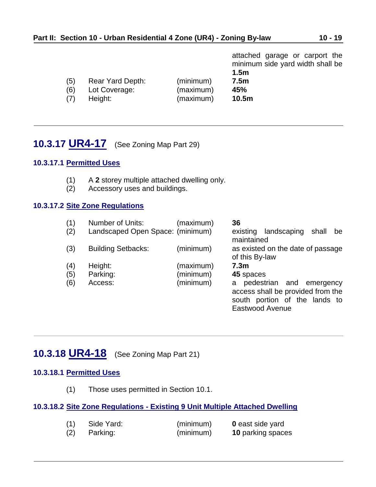|     |                  |           | attached garage or carport the<br>minimum side yard width shall be<br>1.5 <sub>m</sub> |
|-----|------------------|-----------|----------------------------------------------------------------------------------------|
| (5) | Rear Yard Depth: | (minimum) | 7.5m                                                                                   |
| (6) | Lot Coverage:    | (maximum) | 45%                                                                                    |
| (7) | Height:          | (maximum) | 10.5m                                                                                  |

# <span id="page-18-1"></span>**10.3.17 UR4-17** (See Zoning Map Part 29)

### **10.3.17.1 Permitted Uses**

- (1) A **2** storey multiple attached dwelling only.
- (2) Accessory uses and buildings.

#### **10.3.17.2 Site Zone Regulations**

| (1) | Number of Units:                 | (maximum) | 36                                                                                                                     |
|-----|----------------------------------|-----------|------------------------------------------------------------------------------------------------------------------------|
| (2) | Landscaped Open Space: (minimum) |           | landscaping<br>shall<br>existing<br>be<br>maintained                                                                   |
| (3) | <b>Building Setbacks:</b>        | (minimum) | as existed on the date of passage<br>of this By-law                                                                    |
| (4) | Height:                          | (maximum) | 7.3 <sub>m</sub>                                                                                                       |
| (5) | Parking:                         | (minimum) | 45 spaces                                                                                                              |
| (6) | Access:                          | (minimum) | pedestrian and emergency<br>a<br>access shall be provided from the<br>south portion of the lands to<br>Eastwood Avenue |

# <span id="page-18-0"></span>**10.3.18 UR4-18** (See Zoning Map Part 21)

#### **10.3.18.1 Permitted Uses**

(1) Those uses permitted in Section 10.1.

#### **10.3.18.2 Site Zone Regulations - Existing 9 Unit Multiple Attached Dwelling**

| (1) | Side Yard: | (minimum) | <b>0</b> east side yard  |
|-----|------------|-----------|--------------------------|
| (2) | Parking:   | (minimum) | <b>10 parking spaces</b> |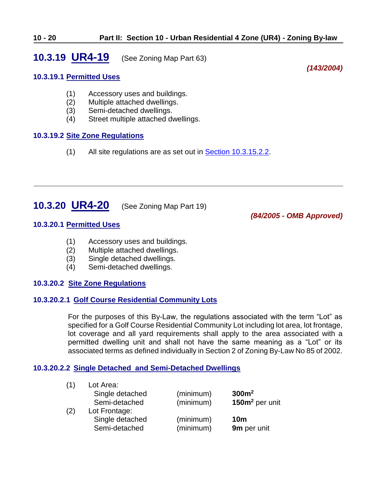# <span id="page-19-0"></span>**10.3.19 UR4-19** (See Zoning Map Part 63)

#### **10.3.19.1 Permitted Uses**

(1) Accessory uses and buildings.

- (2) Multiple attached dwellings.
- (3) Semi-detached dwellings.
- (4) Street multiple attached dwellings.

#### **10.3.19.2 Site Zone Regulations**

(1) All site regulations are as set out in [Section 10.3.15.2.2.](#page-15-1)

# <span id="page-19-1"></span>**10.3.20 UR4-20** (See Zoning Map Part 19)

*(84/2005 - OMB Approved)*

*(143/2004)*

#### **10.3.20.1 Permitted Uses**

- (1) Accessory uses and buildings.
- (2) Multiple attached dwellings.
- (3) Single detached dwellings.
- (4) Semi-detached dwellings.

#### **10.3.20.2 Site Zone Regulations**

#### **10.3.20.2.1 Golf Course Residential Community Lots**

For the purposes of this By-Law, the regulations associated with the term "Lot" as specified for a Golf Course Residential Community Lot including lot area, lot frontage, lot coverage and all yard requirements shall apply to the area associated with a permitted dwelling unit and shall not have the same meaning as a "Lot" or its associated terms as defined individually in Section 2 of Zoning By-Law No 85 of 2002.

#### **10.3.20.2.2 Single Detached and Semi-Detached Dwellings**

| (1) | Lot Area:       |           |                   |
|-----|-----------------|-----------|-------------------|
|     | Single detached | (minimum) | 300m <sup>2</sup> |
|     | Semi-detached   | (minimum) | $150m2$ per unit  |
| (2) | Lot Frontage:   |           |                   |
|     | Single detached | (minimum) | 10 <sub>m</sub>   |
|     | Semi-detached   | (minimum) | 9m per unit       |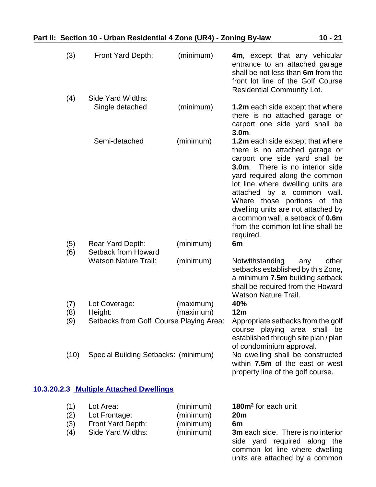| (3)                      | Front Yard Depth:                                                      | (minimum)                                        | 4m, except that any vehicular<br>entrance to an attached garage<br>shall be not less than 6m from the<br>front lot line of the Golf Course<br><b>Residential Community Lot.</b>                                                                                                                                                                                                                                      |
|--------------------------|------------------------------------------------------------------------|--------------------------------------------------|----------------------------------------------------------------------------------------------------------------------------------------------------------------------------------------------------------------------------------------------------------------------------------------------------------------------------------------------------------------------------------------------------------------------|
| (4)                      | Side Yard Widths:<br>Single detached                                   | (minimum)                                        | <b>1.2m</b> each side except that where<br>there is no attached garage or<br>carport one side yard shall be<br>$3.0m$ .                                                                                                                                                                                                                                                                                              |
|                          | Semi-detached                                                          | (minimum)                                        | <b>1.2m</b> each side except that where<br>there is no attached garage or<br>carport one side yard shall be<br>$3.0m$ .<br>There is no interior side<br>yard required along the common<br>lot line where dwelling units are<br>attached by a common wall.<br>Where those portions of the<br>dwelling units are not attached by<br>a common wall, a setback of 0.6m<br>from the common lot line shall be<br>required. |
| (5)<br>(6)               | Rear Yard Depth:<br>Setback from Howard<br><b>Watson Nature Trail:</b> | (minimum)<br>(minimum)                           | 6m<br>Notwithstanding<br>other<br>any<br>setbacks established by this Zone,<br>a minimum 7.5m building setback                                                                                                                                                                                                                                                                                                       |
| (7)<br>(8)<br>(9)        | Lot Coverage:<br>Height:<br>Setbacks from Golf Course Playing Area:    | (maximum)<br>(maximum)                           | shall be required from the Howard<br><b>Watson Nature Trail.</b><br>40%<br>12m<br>Appropriate setbacks from the golf<br>course playing area shall be<br>established through site plan / plan                                                                                                                                                                                                                         |
| (10)                     | Special Building Setbacks: (minimum)                                   |                                                  | of condominium approval.<br>No dwelling shall be constructed<br>within 7.5m of the east or west<br>property line of the golf course.                                                                                                                                                                                                                                                                                 |
|                          | 10.3.20.2.3 Multiple Attached Dwellings                                |                                                  |                                                                                                                                                                                                                                                                                                                                                                                                                      |
| (1)<br>(2)<br>(3)<br>(4) | Lot Area:<br>Lot Frontage:<br>Front Yard Depth:<br>Side Yard Widths:   | (minimum)<br>(minimum)<br>(minimum)<br>(minimum) | 180m <sup>2</sup> for each unit<br>20 <sub>m</sub><br>6m<br><b>3m</b> each side. There is no interior<br>side yard required along the                                                                                                                                                                                                                                                                                |

common lot line where dwelling units are attached by a common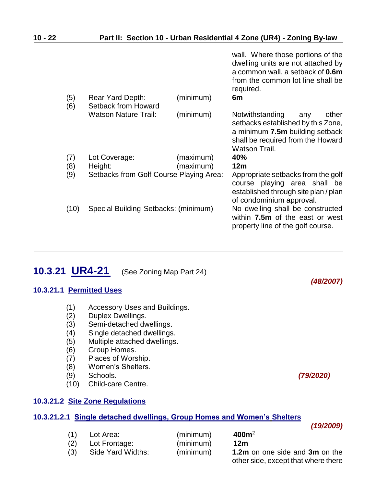|            |                                         |           | wall. Where those portions of the<br>dwelling units are not attached by<br>a common wall, a setback of 0.6m<br>from the common lot line shall be<br>required.  |
|------------|-----------------------------------------|-----------|----------------------------------------------------------------------------------------------------------------------------------------------------------------|
| (5)<br>(6) | Rear Yard Depth:<br>Setback from Howard | (minimum) | 6m                                                                                                                                                             |
|            | <b>Watson Nature Trail:</b>             | (minimum) | Notwithstanding<br>other<br>any<br>setbacks established by this Zone,<br>a minimum 7.5m building setback<br>shall be required from the Howard<br>Watson Trail. |
| (7)        | Lot Coverage:                           | (maximum) | 40%                                                                                                                                                            |
| (8)        | Height:                                 | (maximum) | 12m                                                                                                                                                            |
| (9)        | Setbacks from Golf Course Playing Area: |           | Appropriate setbacks from the golf<br>course playing area shall be<br>established through site plan / plan<br>of condominium approval.                         |
| (10)       | Special Building Setbacks: (minimum)    |           | No dwelling shall be constructed<br>within 7.5m of the east or west<br>property line of the golf course.                                                       |
|            |                                         |           |                                                                                                                                                                |

*(48/2007)*

*(19/2009)*

# <span id="page-21-0"></span>**10.3.21 UR4-21** (See Zoning Map Part 24)

#### **10.3.21.1 Permitted Uses**

- (1) Accessory Uses and Buildings.
- (2) Duplex Dwellings.
- (3) Semi-detached dwellings.
- (4) Single detached dwellings.
- (5) Multiple attached dwellings.
- (6) Group Homes.
- (7) Places of Worship.
- (8) Women's Shelters.
- (9) Schools. *(79/2020)*
- (10) Child-care Centre.

#### **10.3.21.2 Site Zone Regulations**

#### **10.3.21.2.1 Single detached dwellings, Group Homes and Women's Shelters**

| (1) | Lot Area:         | (minimum) | 400m <sup>2</sup>                   |
|-----|-------------------|-----------|-------------------------------------|
| (2) | Lot Frontage:     | (minimum) | 12m                                 |
| (3) | Side Yard Widths: | (minimum) | 1.2m on one side and 3m on the      |
|     |                   |           | other side, except that where there |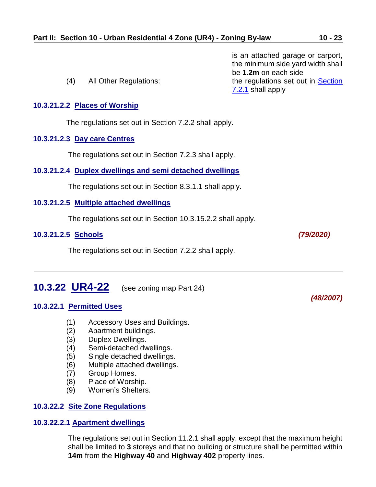is an attached garage or carport, the minimum side yard width shall be **1.2m** on each side (4) All Other Regulations: the regulations set out in Section [7.2.1](ZB_Sec_07_Urban_Residential_1_Zone(UR1).doc) shall apply **10.3.21.2.2 Places of Worship** The regulations set out in Section 7.2.2 shall apply. **10.3.21.2.3 Day care Centres** The regulations set out in Section 7.2.3 shall apply. **10.3.21.2.4 Duplex dwellings and semi detached dwellings** The regulations set out in Section 8.3.1.1 shall apply. **10.3.21.2.5 Multiple attached dwellings** The regulations set out in Section 10.3.15.2.2 shall apply. **10.3.21.2.5 Schools** *(79/2020)* The regulations set out in Section 7.2.2 shall apply.

# <span id="page-22-0"></span>**10.3.22 UR4-22** (see zoning map Part 24)

#### **10.3.22.1 Permitted Uses**

- (1) Accessory Uses and Buildings.
- (2) Apartment buildings.
- (3) Duplex Dwellings.
- (4) Semi-detached dwellings.
- (5) Single detached dwellings.
- (6) Multiple attached dwellings.
- (7) Group Homes.
- (8) Place of Worship.
- (9) Women's Shelters.

#### **10.3.22.2 Site Zone Regulations**

#### **10.3.22.2.1 Apartment dwellings**

The regulations set out in Section 11.2.1 shall apply, except that the maximum height shall be limited to **3** storeys and that no building or structure shall be permitted within **14m** from the **Highway 40** and **Highway 402** property lines.

*(48/2007)*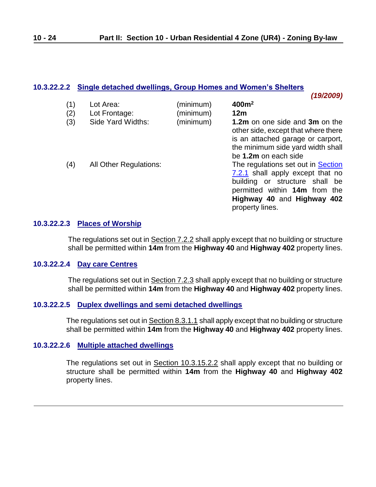*(19/2009)*

#### **10.3.22.2.2 Single detached dwellings, Group Homes and Women's Shelters**

|     |                               |           | (19/2009)                                                                                                                                                                                  |
|-----|-------------------------------|-----------|--------------------------------------------------------------------------------------------------------------------------------------------------------------------------------------------|
| (1) | Lot Area:                     | (minimum) | 400m <sup>2</sup>                                                                                                                                                                          |
| (2) | Lot Frontage:                 | (minimum) | 12 <sub>m</sub>                                                                                                                                                                            |
| (3) | Side Yard Widths:             | (minimum) | 1.2m on one side and 3m on the<br>other side, except that where there<br>is an attached garage or carport,<br>the minimum side yard width shall<br>be 1.2m on each side                    |
| (4) | <b>All Other Regulations:</b> |           | The regulations set out in Section<br>7.2.1 shall apply except that no<br>building or structure shall be<br>permitted within 14m from the<br>Highway 40 and Highway 402<br>property lines. |

#### **10.3.22.2.3 Places of Worship**

The regulations set out in Section 7.2.2 shall apply except that no building or structure shall be permitted within **14m** from the **Highway 40** and **Highway 402** property lines.

#### **10.3.22.2.4 Day care Centres**

The regulations set out in Section 7.2.3 shall apply except that no building or structure shall be permitted within **14m** from the **Highway 40** and **Highway 402** property lines.

#### **10.3.22.2.5 Duplex dwellings and semi detached dwellings**

The regulations set out in Section 8.3.1.1 shall apply except that no building or structure shall be permitted within **14m** from the **Highway 40** and **Highway 402** property lines.

#### **10.3.22.2.6 Multiple attached dwellings**

The regulations set out in Section 10.3.15.2.2 shall apply except that no building or structure shall be permitted within **14m** from the **Highway 40** and **Highway 402** property lines.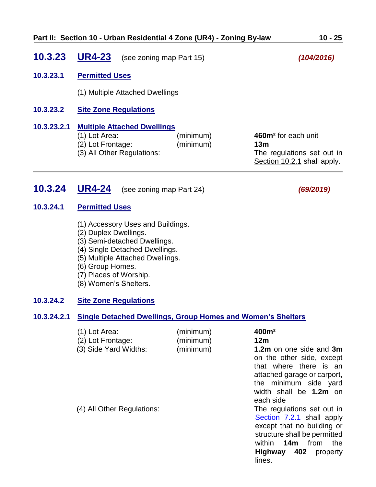<span id="page-24-0"></span>

| 10.3.23     | <b>UR4-23</b>                                                                                          | (see zoning map Part 15) | (104/2016)                                                                                                      |
|-------------|--------------------------------------------------------------------------------------------------------|--------------------------|-----------------------------------------------------------------------------------------------------------------|
| 10.3.23.1   | <b>Permitted Uses</b>                                                                                  |                          |                                                                                                                 |
|             | (1) Multiple Attached Dwellings                                                                        |                          |                                                                                                                 |
| 10.3.23.2   | <b>Site Zone Regulations</b>                                                                           |                          |                                                                                                                 |
| 10.3.23.2.1 | <b>Multiple Attached Dwellings</b><br>(1) Lot Area:<br>(2) Lot Frontage:<br>(3) All Other Regulations: | (minimum)<br>(minimum)   | 460m <sup>2</sup> for each unit<br>13 <sub>m</sub><br>The regulations set out in<br>Section 10.2.1 shall apply. |

### **10.3.24 UR4-24** (see zoning map Part 24) *(69/2019)*

#### **10.3.24.1 Permitted Uses**

- <span id="page-24-1"></span>(1) Accessory Uses and Buildings.
- (2) Duplex Dwellings.
- (3) Semi-detached Dwellings.
- (4) Single Detached Dwellings.
- (5) Multiple Attached Dwellings.
- (6) Group Homes.
- (7) Places of Worship.
- (8) Women's Shelters.

#### **10.3.24.2 Site Zone Regulations**

#### **10.3.24.2.1 Single Detached Dwellings, Group Homes and Women's Shelters**

| (1) Lot Area:              | (minimum) | 400m <sup>2</sup>                                                                                                                                                                              |
|----------------------------|-----------|------------------------------------------------------------------------------------------------------------------------------------------------------------------------------------------------|
| (2) Lot Frontage:          | (minimum) | 12m                                                                                                                                                                                            |
| (3) Side Yard Widths:      | (minimum) | 1.2m on one side and 3m<br>on the other side, except<br>that where there is an<br>attached garage or carport,<br>the minimum side yard<br>width shall be 1.2m on<br>each side                  |
| (4) All Other Regulations: |           | The regulations set out in<br>Section 7.2.1 shall apply<br>except that no building or<br>structure shall be permitted<br>14m<br>within<br>from<br>the<br><b>Highway 402</b> property<br>lines. |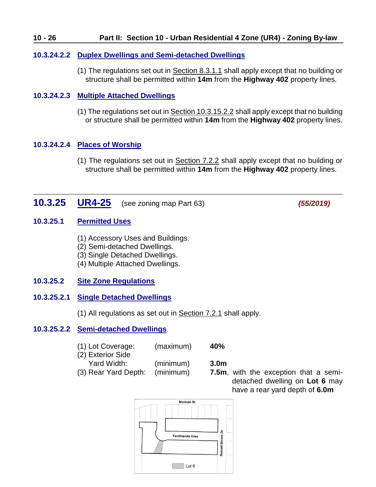#### **10 - 26 Part II: Section 10 - Urban Residential 4 Zone (UR4) - Zoning By-law**

#### **10.3.24.2.2 Duplex Dwellings and Semi-detached Dwellings**

(1) The regulations set out in Section 8.3.1.1 shall apply except that no building or structure shall be permitted within **14m** from the **Highway 402** property lines.

#### **10.3.24.2.3 Multiple Attached Dwellings**

(1) The regulations set out in Section 10.3.15.2.2 shall apply except that no building or structure shall be permitted within **14m** from the **Highway 402** property lines.

#### **10.3.24.2.4 Places of Worship**

(1) The regulations set out in Section 7.2.2 shall apply except that no building or structure shall be permitted within **14m** from the **Highway 402** property lines.

### **10.3.25 UR4-25** (see zoning map Part 63) *(55/2019)*

#### **10.3.25.1 Permitted Uses**

- <span id="page-25-0"></span>(1) Accessory Uses and Buildings.
- (2) Semi-detached Dwellings.
- (3) Single Detached Dwellings.
- (4) Multiple Attached Dwellings.

#### **10.3.25.2 Site Zone Regulations**

#### **10.3.25.2.1 Single Detached Dwellings**

(1) All regulations as set out in Section 7.2.1 shall apply.

#### **10.3.25.2.2 Semi-detached Dwellings**

| (1) Lot Coverage:      | (maximum) | 40%               |
|------------------------|-----------|-------------------|
| (2) Exterior Side      |           |                   |
| Yard Width:            | (minimum) | 3.0 <sub>m</sub>  |
| $(2)$ Door Vord Donth: | (minimnm) | 7.5 <sub>ma</sub> |

(3) Rear Yard Depth: (minimum) **7.5m**, with the exception that a semidetached dwelling on **Lot 6** may have a rear yard depth of **6.0m**